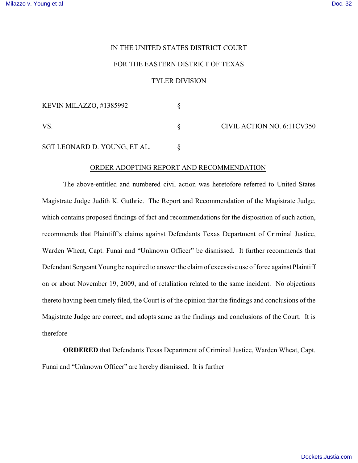## IN THE UNITED STATES DISTRICT COURT

## FOR THE EASTERN DISTRICT OF TEXAS

## TYLER DIVISION

| KEVIN MILAZZO, #1385992      |  | CIVIL ACTION NO. 6:11CV350 |
|------------------------------|--|----------------------------|
| <b>VS</b>                    |  |                            |
| SGT LEONARD D. YOUNG, ET AL. |  |                            |

## ORDER ADOPTING REPORT AND RECOMMENDATION

The above-entitled and numbered civil action was heretofore referred to United States Magistrate Judge Judith K. Guthrie. The Report and Recommendation of the Magistrate Judge, which contains proposed findings of fact and recommendations for the disposition of such action, recommends that Plaintiff's claims against Defendants Texas Department of Criminal Justice, Warden Wheat, Capt. Funai and "Unknown Officer" be dismissed. It further recommends that Defendant Sergeant Young be required to answer the claim of excessive use of force against Plaintiff on or about November 19, 2009, and of retaliation related to the same incident. No objections thereto having been timely filed, the Court is of the opinion that the findings and conclusions of the Magistrate Judge are correct, and adopts same as the findings and conclusions of the Court. It is therefore

**ORDERED** that Defendants Texas Department of Criminal Justice, Warden Wheat, Capt. Funai and "Unknown Officer" are hereby dismissed. It is further